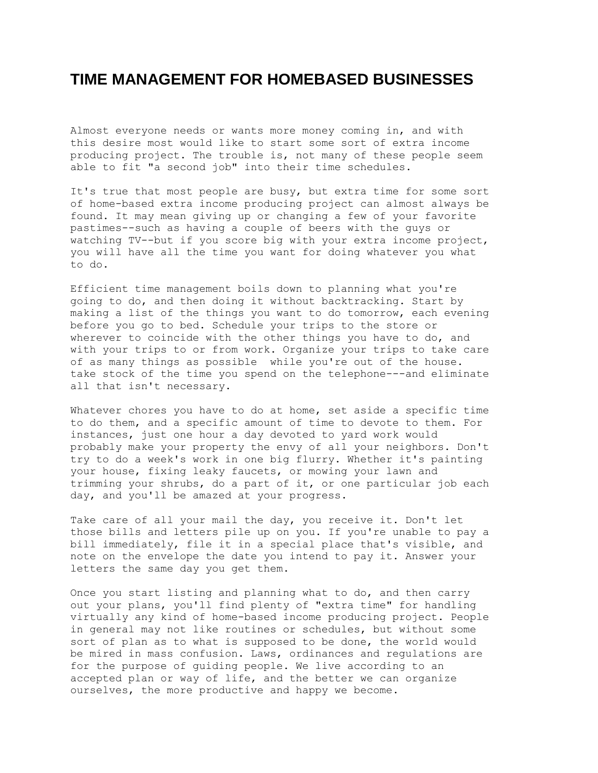## **TIME MANAGEMENT FOR HOMEBASED BUSINESSES**

Almost everyone needs or wants more money coming in, and with this desire most would like to start some sort of extra income producing project. The trouble is, not many of these people seem able to fit "a second job" into their time schedules.

It's true that most people are busy, but extra time for some sort of home-based extra income producing project can almost always be found. It may mean giving up or changing a few of your favorite pastimes--such as having a couple of beers with the guys or watching TV--but if you score big with your extra income project, you will have all the time you want for doing whatever you what to do.

Efficient time management boils down to planning what you're going to do, and then doing it without backtracking. Start by making a list of the things you want to do tomorrow, each evening before you go to bed. Schedule your trips to the store or wherever to coincide with the other things you have to do, and with your trips to or from work. Organize your trips to take care of as many things as possible while you're out of the house. take stock of the time you spend on the telephone---and eliminate all that isn't necessary.

Whatever chores you have to do at home, set aside a specific time to do them, and a specific amount of time to devote to them. For instances, just one hour a day devoted to yard work would probably make your property the envy of all your neighbors. Don't try to do a week's work in one big flurry. Whether it's painting your house, fixing leaky faucets, or mowing your lawn and trimming your shrubs, do a part of it, or one particular job each day, and you'll be amazed at your progress.

Take care of all your mail the day, you receive it. Don't let those bills and letters pile up on you. If you're unable to pay a bill immediately, file it in a special place that's visible, and note on the envelope the date you intend to pay it. Answer your letters the same day you get them.

Once you start listing and planning what to do, and then carry out your plans, you'll find plenty of "extra time" for handling virtually any kind of home-based income producing project. People in general may not like routines or schedules, but without some sort of plan as to what is supposed to be done, the world would be mired in mass confusion. Laws, ordinances and regulations are for the purpose of guiding people. We live according to an accepted plan or way of life, and the better we can organize ourselves, the more productive and happy we become.